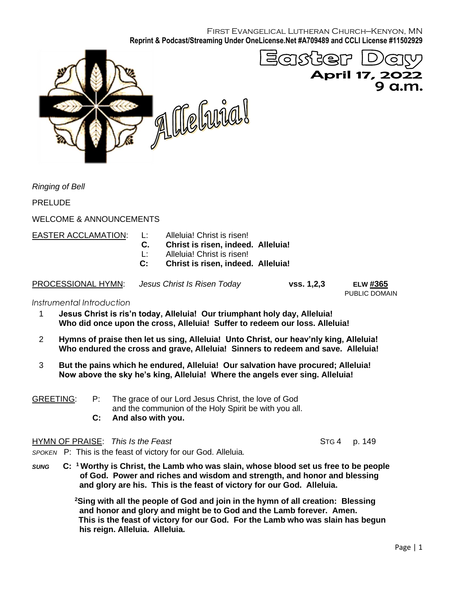First Evangelical Lutheran Church—Kenyon, MN **Reprint & Podcast/Streaming Under OneLicense.Net #A709489 and CCLI License #11502929**



*Ringing of Bell*

PRELUDE

WELCOME & ANNOUNCEMENTS

EASTER ACCLAMATION: L: Alleluia! Christ is risen!

- 
- **C. Christ is risen, indeed. Alleluia!**
- L: Alleluia! Christ is risen!
- **C: Christ is risen, indeed. Alleluia!**

PROCESSIONAL HYMN: *Jesus Christ Is Risen Today* **vss. 1,2,3 ELW #365**

PUBLIC DOMAIN

### *Instrumental Introduction*

- 1 **Jesus Christ is ris'n today, Alleluia! Our triumphant holy day, Alleluia! Who did once upon the cross, Alleluia! Suffer to redeem our loss. Alleluia!**
- 2 **Hymns of praise then let us sing, Alleluia! Unto Christ, our heav'nly king, Alleluia! Who endured the cross and grave, Alleluia! Sinners to redeem and save. Alleluia!**
- 3 **But the pains which he endured, Alleluia! Our salvation have procured; Alleluia! Now above the sky he's king, Alleluia! Where the angels ever sing. Alleluia!**

|                  | And also with you.                                     |
|------------------|--------------------------------------------------------|
|                  | and the communion of the Holy Spirit be with you all.  |
| <b>GREETING:</b> | P: The grace of our Lord Jesus Christ, the love of God |

HYMN OF PRAISE:*This Is the Feast* STG 4 p. 149

- *SPOKEN* P: This is the feast of victory for our God. Alleluia*.*
- $SUNG$ **<sup>1</sup>Worthy is Christ, the Lamb who was slain, whose blood set us free to be people of God. Power and riches and wisdom and strength, and honor and blessing and glory are his. This is the feast of victory for our God. Alleluia.**

**<sup>2</sup>Sing with all the people of God and join in the hymn of all creation: Blessing and honor and glory and might be to God and the Lamb forever. Amen. This is the feast of victory for our God. For the Lamb who was slain has begun his reign. Alleluia. Alleluia.**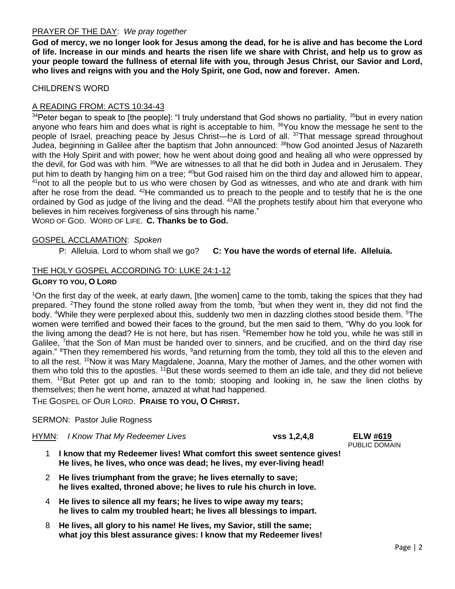## PRAYER OF THE DAY: *We pray together*

**God of mercy, we no longer look for Jesus among the dead, for he is alive and has become the Lord of life. Increase in our minds and hearts the risen life we share with Christ, and help us to grow as your people toward the fullness of eternal life with you, through Jesus Christ, our Savior and Lord, who lives and reigns with you and the Holy Spirit, one God, now and forever. Amen.**

## CHILDREN'S WORD

# A READING FROM: ACTS 10:34-43

 $34$ Peter began to speak to [the people]: "I truly understand that God shows no partiality,  $35$ but in every nation anyone who fears him and does what is right is acceptable to him. <sup>36</sup>You know the message he sent to the people of Israel, preaching peace by Jesus Christ—he is Lord of all. <sup>37</sup>That message spread throughout Judea, beginning in Galilee after the baptism that John announced: <sup>38</sup>how God anointed Jesus of Nazareth with the Holy Spirit and with power; how he went about doing good and healing all who were oppressed by the devil, for God was with him. <sup>39</sup>We are witnesses to all that he did both in Judea and in Jerusalem. They put him to death by hanging him on a tree; <sup>40</sup>but God raised him on the third day and allowed him to appear,  $41$ not to all the people but to us who were chosen by God as witnesses, and who ate and drank with him after he rose from the dead. <sup>42</sup>He commanded us to preach to the people and to testify that he is the one ordained by God as judge of the living and the dead. <sup>43</sup>All the prophets testify about him that everyone who believes in him receives forgiveness of sins through his name." WORD OF GOD. WORD OF LIFE. **C. Thanks be to God.**

### GOSPEL ACCLAMATION: *Spoken*

P: Alleluia. Lord to whom shall we go? **C: You have the words of eternal life. Alleluia.**

## THE HOLY GOSPEL ACCORDING TO: LUKE 24:1-12

### **GLORY TO YOU, O LORD**

<sup>1</sup>On the first day of the week, at early dawn, [the women] came to the tomb, taking the spices that they had prepared. <sup>2</sup>They found the stone rolled away from the tomb,  $3$ but when they went in, they did not find the body. <sup>4</sup>While they were perplexed about this, suddenly two men in dazzling clothes stood beside them. <sup>5</sup>The women were terrified and bowed their faces to the ground, but the men said to them, "Why do you look for the living among the dead? He is not here, but has risen. <sup>6</sup>Remember how he told you, while he was still in Galilee, <sup>7</sup>that the Son of Man must be handed over to sinners, and be crucified, and on the third day rise again." <sup>8</sup>Then they remembered his words, <sup>9</sup>and returning from the tomb, they told all this to the eleven and to all the rest. <sup>10</sup>Now it was Mary Magdalene, Joanna, Mary the mother of James, and the other women with them who told this to the apostles. <sup>11</sup>But these words seemed to them an idle tale, and they did not believe them. <sup>12</sup>But Peter got up and ran to the tomb; stooping and looking in, he saw the linen cloths by themselves; then he went home, amazed at what had happened.

THE GOSPEL OF OUR LORD. **PRAISE TO YOU, O CHRIST.**

### SERMON: Pastor Julie Rogness

HYMN: *I Know That My Redeemer Lives* **vss 1,2,4,8 ELW #619**

- 1 **I know that my Redeemer lives! What comfort this sweet sentence gives! He lives, he lives, who once was dead; he lives, my ever-living head!**
- 2 **He lives triumphant from the grave; he lives eternally to save; he lives exalted, throned above; he lives to rule his church in love.**
- 4 **He lives to silence all my fears; he lives to wipe away my tears; he lives to calm my troubled heart; he lives all blessings to impart.**
- 8 **He lives, all glory to his name! He lives, my Savior, still the same; what joy this blest assurance gives: I know that my Redeemer lives!**

PUBLIC DOMAIN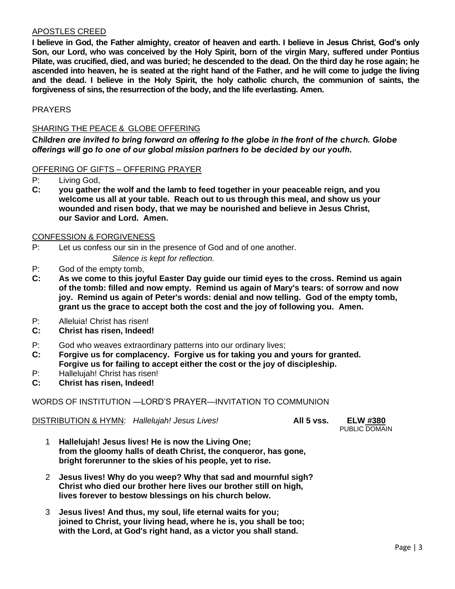## APOSTLES CREED

**I believe in God, the Father almighty, creator of heaven and earth. I believe in Jesus Christ, God's only Son, our Lord, who was conceived by the Holy Spirit, born of the virgin Mary, suffered under Pontius Pilate, was crucified, died, and was buried; he descended to the dead. On the third day he rose again; he ascended into heaven, he is seated at the right hand of the Father, and he will come to judge the living and the dead. I believe in the Holy Spirit, the holy catholic church, the communion of saints, the forgiveness of sins, the resurrection of the body, and the life everlasting. Amen.**

# **PRAYERS**

# SHARING THE PEACE & GLOBE OFFERING

*Children are invited to bring forward an offering to the globe in the front of the church. Globe offerings will go to one of our global mission partners to be decided by our youth.*

## OFFERING OF GIFTS – OFFERING PRAYER

- P: Living God,
- **C: you gather the wolf and the lamb to feed together in your peaceable reign, and you welcome us all at your table. Reach out to us through this meal, and show us your wounded and risen body, that we may be nourished and believe in Jesus Christ, our Savior and Lord. Amen.**

## CONFESSION & FORGIVENESS

P: Let us confess our sin in the presence of God and of one another.

*Silence is kept for reflection.*

- P: God of the empty tomb,
- **C: As we come to this joyful Easter Day guide our timid eyes to the cross. Remind us again of the tomb: filled and now empty. Remind us again of Mary's tears: of sorrow and now joy. Remind us again of Peter's words: denial and now telling. God of the empty tomb, grant us the grace to accept both the cost and the joy of following you. Amen.**
- P: Alleluia! Christ has risen!
- **C: Christ has risen, Indeed!**
- P: God who weaves extraordinary patterns into our ordinary lives;
- **C: Forgive us for complacency. Forgive us for taking you and yours for granted. Forgive us for failing to accept either the cost or the joy of discipleship.**
- P: Hallelujah! Christ has risen!
- **C: Christ has risen, Indeed!**

# WORDS OF INSTITUTION —LORD'S PRAYER—INVITATION TO COMMUNION

DISTRIBUTION & HYMN: *Hallelujah! Jesus Lives!* **All 5 vss. ELW #380**

PUBLIC DOMAIN

- 1 **Hallelujah! Jesus lives! He is now the Living One; from the gloomy halls of death Christ, the conqueror, has gone, bright forerunner to the skies of his people, yet to rise.**
- 2 **Jesus lives! Why do you weep? Why that sad and mournful sigh? Christ who died our brother here lives our brother still on high, lives forever to bestow blessings on his church below.**
- 3 **Jesus lives! And thus, my soul, life eternal waits for you; joined to Christ, your living head, where he is, you shall be too; with the Lord, at God's right hand, as a victor you shall stand.**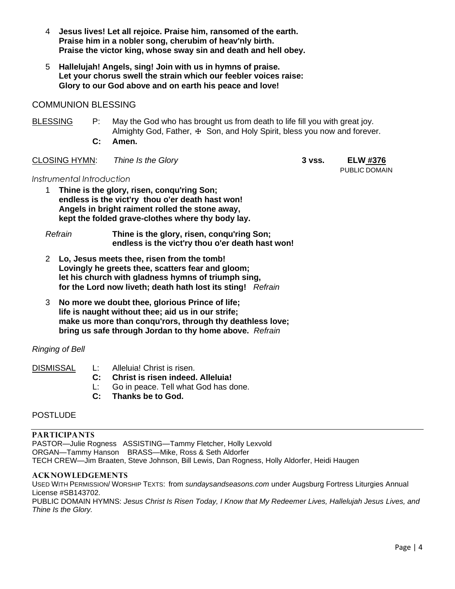- 4 **Jesus lives! Let all rejoice. Praise him, ransomed of the earth. Praise him in a nobler song, cherubim of heav'nly birth. Praise the victor king, whose sway sin and death and hell obey.**
- 5 **Hallelujah! Angels, sing! Join with us in hymns of praise. Let your chorus swell the strain which our feebler voices raise: Glory to our God above and on earth his peace and love!**

# COMMUNION BLESSING

BLESSING P: May the God who has brought us from death to life fill you with great joy. Almighty God, Father, ⊕ Son, and Holy Spirit, bless you now and forever.  **C: Amen.**

## CLOSING HYMN: *Thine Is the Glory* **3 vss. ELW #376**

PUBLIC DOMAIN

## *Instrumental Introduction*

- 1 **Thine is the glory, risen, conqu'ring Son; endless is the vict'ry thou o'er death hast won! Angels in bright raiment rolled the stone away, kept the folded grave-clothes where thy body lay.**
- *Refrain* **Thine is the glory, risen, conqu'ring Son; endless is the vict'ry thou o'er death hast won!**
- 2 **Lo, Jesus meets thee, risen from the tomb! Lovingly he greets thee, scatters fear and gloom; let his church with gladness hymns of triumph sing, for the Lord now liveth; death hath lost its sting!** *Refrain*
- 3 **No more we doubt thee, glorious Prince of life; life is naught without thee; aid us in our strife; make us more than conqu'rors, through thy deathless love; bring us safe through Jordan to thy home above.** *Refrain*

# *Ringing of Bell*

# DISMISSAL L: Alleluia! Christ is risen.

- **C: Christ is risen indeed. Alleluia!**
- L: Go in peace. Tell what God has done.
- **C: Thanks be to God.**

# **POSTLUDE**

### **PARTICIPANTS**

PASTOR—Julie Rogness ASSISTING—Tammy Fletcher, Holly Lexvold ORGAN—Tammy Hanson BRASS—Mike, Ross & Seth Aldorfer TECH CREW—Jim Braaten, Steve Johnson, Bill Lewis, Dan Rogness, Holly Aldorfer, Heidi Haugen

### **ACKNOWLEDGEMENTS**

USED WITH PERMISSION/ WORSHIP TEXTS: from *sundaysandseasons.com* under Augsburg Fortress Liturgies Annual License #SB143702. PUBLIC DOMAIN HYMNS: *Jesus Christ Is Risen Today, I Know that My Redeemer Lives, Hallelujah Jesus Lives, and Thine Is the Glory.*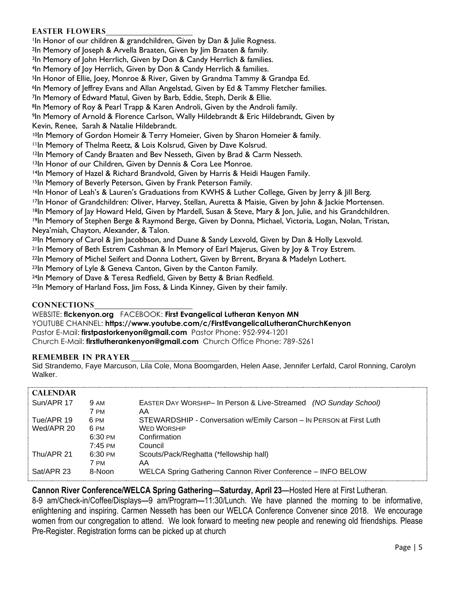# **Easter Flowers**

<sup>1</sup>In Honor of our children & grandchildren, Given by Dan & Julie Rogness.

<sup>2</sup>In Memory of Joseph & Arvella Braaten, Given by Jim Braaten & family.

<sup>3</sup>In Memory of John Herrlich, Given by Don & Candy Herrlich & families.

<sup>4</sup>In Memory of Joy Herrlich, Given by Don & Candy Herrlich & families.

<sup>5</sup>In Honor of Ellie, Joey, Monroe & River, Given by Grandma Tammy & Grandpa Ed.

<sup>6</sup>In Memory of Jeffrey Evans and Allan Angelstad, Given by Ed & Tammy Fletcher families.

<sup>7</sup>In Memory of Edward Matul, Given by Barb, Eddie, Steph, Derik & Ellie.

<sup>8</sup>In Memory of Roy & Pearl Trapp & Karen Androli, Given by the Androli family.

<sup>9</sup>In Memory of Arnold & Florence Carlson, Wally Hildebrandt & Eric Hildebrandt, Given by Kevin, Renee, Sarah & Natalie Hildebrandt.

10In Memory of Gordon Homeir & Terry Homeier, Given by Sharon Homeier & family.

<sup>11</sup>In Memory of Thelma Reetz, & Lois Kolsrud, Given by Dave Kolsrud.

<sup>12</sup>In Memory of Candy Braaten and Bev Nesseth, Given by Brad & Carm Nesseth.

13In Honor of our Children, Given by Dennis & Cora Lee Monroe.

<sup>14</sup>In Memory of Hazel & Richard Brandvold, Given by Harris & Heidi Haugen Family.

15In Memory of Beverly Peterson, Given by Frank Peterson Family.

16In Honor of Leah's & Lauren's Graduations from KWHS & Luther College, Given by Jerry & Jill Berg.

<sup>17</sup>In Honor of Grandchildren: Oliver, Harvey, Stellan, Auretta & Maisie, Given by John & Jackie Mortensen.

<sup>18</sup>In Memory of Jay Howard Held, Given by Mardell, Susan & Steve, Mary & Jon, Julie, and his Grandchildren.

19In Memory of Stephen Berge & Raymond Berge, Given by Donna, Michael, Victoria, Logan, Nolan, Tristan, Neya'miah, Chayton, Alexander, & Talon.

<sup>20</sup>In Memory of Carol & Jim Jacobbson, and Duane & Sandy Lexvold, Given by Dan & Holly Lexvold.

<sup>21</sup>In Memory of Beth Estrem Cashman & In Memory of Earl Majerus, Given by Joy & Troy Estrem.

<sup>22</sup>In Memory of Michel Seifert and Donna Lothert, Given by Brrent, Bryana & Madelyn Lothert.

<sup>23</sup>In Memory of Lyle & Geneva Canton, Given by the Canton Family.

<sup>24</sup>In Memory of Dave & Teresa Redfield, Given by Betty & Brian Redfield.

<sup>25</sup>In Memory of Harland Foss, Jim Foss, & Linda Kinney, Given by their family.

### **CONNECTIONS**

WEBSITE: **flckenyon.org** FACEBOOK: **First Evangelical Lutheran Kenyon MN**

YOUTUBE CHANNEL: **<https://www.youtube.com/c/FirstEvangelicalLutheranChurchKenyon>** Pastor E-Mail: **[firstpastorkenyon@gmail.com](mailto:firstpastorkenyon@gmail.com)** Pastor Phone: 952-994-1201 Church E-Mail: **[firstlutherankenyon@gmail.com](mailto:firstlutherankenyon@gmail.com)** Church Office Phone: 789-5261

### **REMEMBER IN PRAYER**

Sid Strandemo, Faye Marcuson, Lila Cole, Mona Boomgarden, Helen Aase, Jennifer Lerfald, Carol Ronning, Carolyn Walker.

| <b>CALENDAR</b> |                    |                                                                     |
|-----------------|--------------------|---------------------------------------------------------------------|
| Sun/APR 17      | <b>9 AM</b>        | EASTER DAY WORSHIP- In Person & Live-Streamed (NO Sunday School)    |
|                 | 7 PM               | AA                                                                  |
| Tue/APR 19      | 6 PM               | STEWARDSHIP - Conversation w/Emily Carson - In PERSON at First Luth |
| Wed/APR 20      | 6 PM               | <b>WED WORSHIP</b>                                                  |
|                 | $6:30 \text{ PM}$  | Confirmation                                                        |
|                 | $7:45 \text{ }$ PM | Council                                                             |
| Thu/APR 21      | $6:30 \text{ PM}$  | Scouts/Pack/Reghatta (*fellowship hall)                             |
|                 | 7 PM               | AA                                                                  |
| Sat/APR 23      | 8-Noon             | WELCA Spring Gathering Cannon River Conference - INFO BELOW         |
|                 |                    |                                                                     |

# **Cannon River Conference/WELCA Spring Gathering—Saturday, April 23—**Hosted Here at First Lutheran.

8-9 am/Check-in/Coffee/Displays**—**9 am/Program**—**11:30/Lunch. We have planned the morning to be informative, enlightening and inspiring. Carmen Nesseth has been our WELCA Conference Convener since 2018. We encourage women from our congregation to attend. We look forward to meeting new people and renewing old friendships. Please Pre-Register. Registration forms can be picked up at church